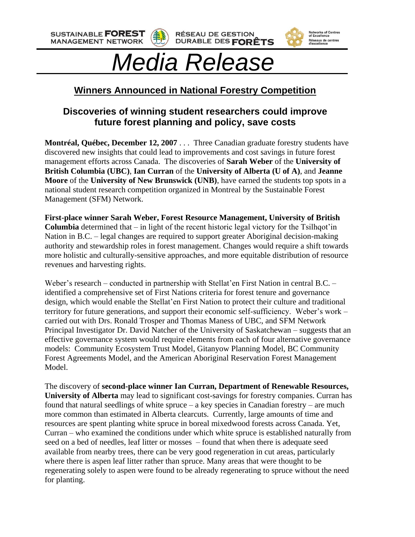**SUSTAINABLE FOREST MANAGEMENT NETWORK** 





Networks of Centres<br>of Excellence

Réseaux de centres<br>d'excellence

# *Media Release*

## **Winners Announced in National Forestry Competition**

### **Discoveries of winning student researchers could improve future forest planning and policy, save costs**

**Montréal, Québec, December 12, 2007** . . . Three Canadian graduate forestry students have discovered new insights that could lead to improvements and cost savings in future forest management efforts across Canada. The discoveries of **Sarah Weber** of the **University of British Columbia (UBC)**, **Ian Curran** of the **University of Alberta (U of A)**, and **Jeanne Moore** of the **University of New Brunswick (UNB)**, have earned the students top spots in a national student research competition organized in Montreal by the Sustainable Forest Management (SFM) Network.

**First-place winner Sarah Weber, Forest Resource Management, University of British Columbia** determined that – in light of the recent historic legal victory for the Tsilhqot'in Nation in B.C. – legal changes are required to support greater Aboriginal decision-making authority and stewardship roles in forest management. Changes would require a shift towards more holistic and culturally-sensitive approaches, and more equitable distribution of resource revenues and harvesting rights.

Weber's research – conducted in partnership with Stellat'en First Nation in central B.C. – identified a comprehensive set of First Nations criteria for forest tenure and governance design, which would enable the Stellat'en First Nation to protect their culture and traditional territory for future generations, and support their economic self-sufficiency. Weber's work – carried out with Drs. Ronald Trosper and Thomas Maness of UBC, and SFM Network Principal Investigator Dr. David Natcher of the University of Saskatchewan – suggests that an effective governance system would require elements from each of four alternative governance models: Community Ecosystem Trust Model, Gitanyow Planning Model, BC Community Forest Agreements Model, and the American Aboriginal Reservation Forest Management Model.

The discovery of **second-place winner Ian Curran, Department of Renewable Resources, University of Alberta** may lead to significant cost-savings for forestry companies. Curran has found that natural seedlings of white spruce – a key species in Canadian forestry – are much more common than estimated in Alberta clearcuts. Currently, large amounts of time and resources are spent planting white spruce in boreal mixedwood forests across Canada. Yet, Curran – who examined the conditions under which white spruce is established naturally from seed on a bed of needles, leaf litter or mosses – found that when there is adequate seed available from nearby trees, there can be very good regeneration in cut areas, particularly where there is aspen leaf litter rather than spruce. Many areas that were thought to be regenerating solely to aspen were found to be already regenerating to spruce without the need for planting.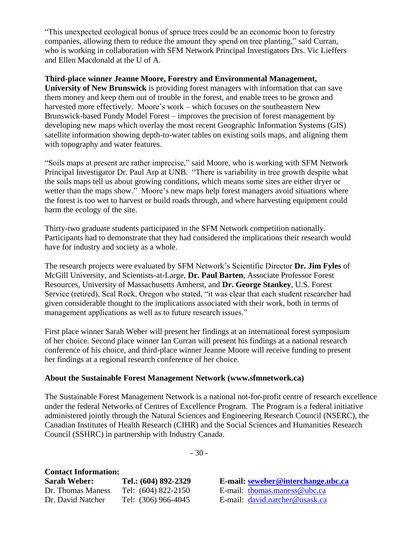"This unexpected ecological bonus of spruce trees could be an economic boon to forestry companies, allowing them to reduce the amount they spend on tree planting," said Curran, who is working in collaboration with SFM Network Principal Investigators Drs. Vic Lieffers and Ellen Macdonald at the U of A.

#### **Third-place winner Jeanne Moore, Forestry and Environmental Management,**

**University of New Brunswick** is providing forest managers with information that can save them money and keep them out of trouble in the forest, and enable trees to be grown and harvested more effectively. Moore's work – which focuses on the southeastern New Brunswick-based Fundy Model Forest – improves the precision of forest management by developing new maps which overlay the most recent Geographic Information Systems (GIS) satellite information showing depth-to-water tables on existing soils maps, and aligning them with topography and water features.

"Soils maps at present are rather imprecise," said Moore, who is working with SFM Network Principal Investigator Dr. Paul Arp at UNB. "There is variability in tree growth despite what the soils maps tell us about growing conditions, which means some sites are either dryer or wetter than the maps show." Moore's new maps help forest managers avoid situations where the forest is too wet to harvest or build roads through, and where harvesting equipment could harm the ecology of the site.

Thirty-two graduate students participated in the SFM Network competition nationally. Participants had to demonstrate that they had considered the implications their research would have for industry and society as a whole.

The research projects were evaluated by SFM Network's Scientific Director **Dr. Jim Fyles** of McGill University, and Scientists-at-Large, **Dr. Paul Barten**, Associate Professor Forest Resources, University of Massachusetts Amherst, and **Dr. George Stankey**, U.S. Forest Service (retired), Seal Rock, Oregon who stated, "it was clear that each student researcher had given considerable thought to the implications associated with their work, both in terms of management applications as well as to future research issues."

First place winner Sarah Weber will present her findings at an international forest symposium of her choice. Second place winner Ian Curran will present his findings at a national research conference of his choice, and third-place winner Jeanne Moore will receive funding to present her findings at a regional research conference of her choice.

#### **About the Sustainable Forest Management Network (www.sfmnetwork.ca)**

The Sustainable Forest Management Network is a national not-for-profit centre of research excellence under the federal Networks of Centres of Excellence Program. The Program is a federal initiative administered jointly through the Natural Sciences and Engineering Research Council (NSERC), the Canadian Institutes of Health Research (CIHR) and the Social Sciences and Humanities Research Council (SSHRC) in partnership with Industry Canada.

| <b>Contact Information:</b> |                      |
|-----------------------------|----------------------|
| <b>Sarah Weber:</b>         | Tel.: (604) 892-2329 |
| Dr. Thomas Maness           | Tel: (604) 822-2150  |
| Dr. David Natcher           | Tel: (306) 966-4045  |

**Sarah Weber: Tel.: (604) 892-2329 E-mail: [seweber@interchange.ubc.ca](mailto:seweber@interchange.ubc.ca)** E-mail: [thomas.maness@ubc.ca](mailto:thomas.maness@ubc.ca) E-mail: [david.natcher@usask.ca](mailto:david.natcher@usask.ca)

- 30 -